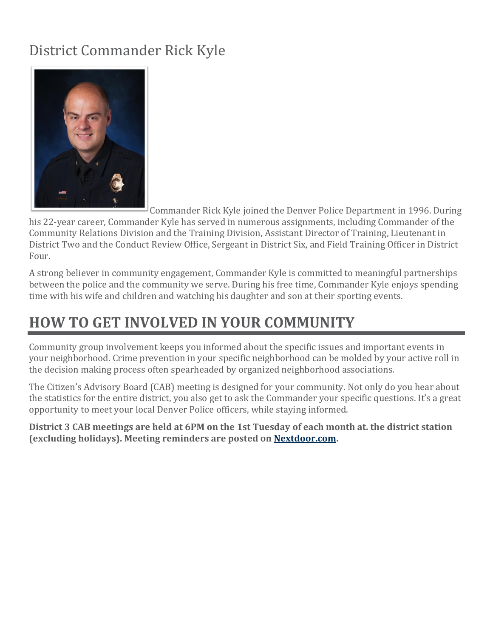## District Commander Rick Kyle



Commander Rick Kyle joined the Denver Police Department in 1996. During

his 22-year career, Commander Kyle has served in numerous assignments, including Commander of the Community Relations Division and the Training Division, Assistant Director of Training, Lieutenant in District Two and the Conduct Review Office, Sergeant in District Six, and Field Training Officer in District Four.

A strong believer in community engagement, Commander Kyle is committed to meaningful partnerships between the police and the community we serve. During his free time, Commander Kyle enjoys spending time with his wife and children and watching his daughter and son at their sporting events.

## **HOW TO GET INVOLVED IN YOUR COMMUNITY**

Community group involvement keeps you informed about the specific issues and important events in your neighborhood. Crime prevention in your specific neighborhood can be molded by your active roll in the decision making process often spearheaded by organized neighborhood associations.

The Citizen's Advisory Board (CAB) meeting is designed for your community. Not only do you hear about the statistics for the entire district, you also get to ask the Commander your specific questions. It's a great opportunity to meet your local Denver Police officers, while staying informed.

**District 3 CAB meetings are held at 6PM on the 1st Tuesday of each month at. the district station (excluding holidays). Meeting reminders are posted on [Nextdoor.com.](https://www.denvergov.org/content/denvergov/en/police-department/police-stations/Nextdoor.com)**